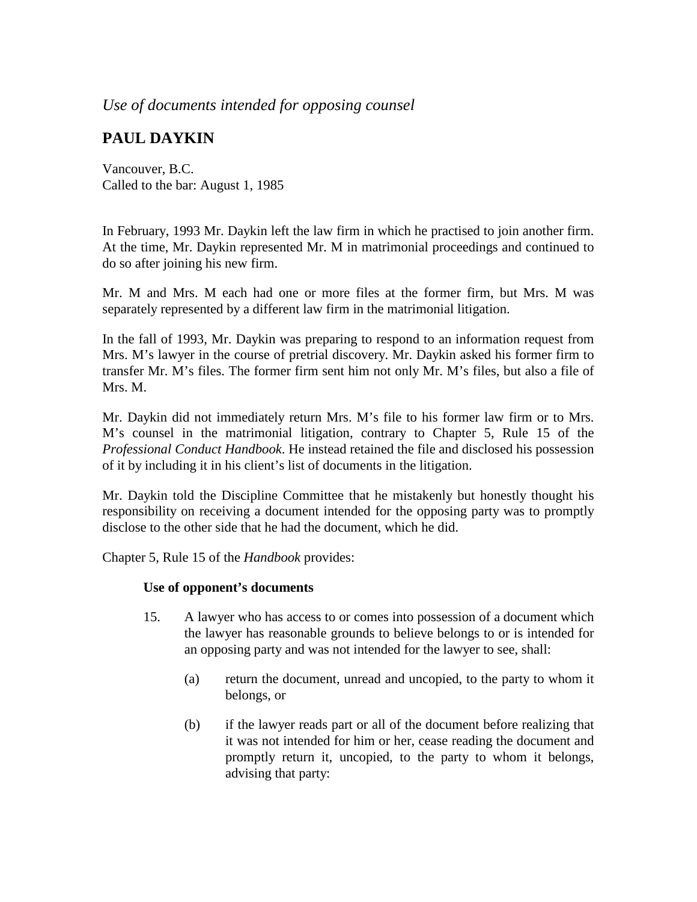## *Use of documents intended for opposing counsel*

## **PAUL DAYKIN**

Vancouver, B.C. Called to the bar: August 1, 1985

In February, 1993 Mr. Daykin left the law firm in which he practised to join another firm. At the time, Mr. Daykin represented Mr. M in matrimonial proceedings and continued to do so after joining his new firm.

Mr. M and Mrs. M each had one or more files at the former firm, but Mrs. M was separately represented by a different law firm in the matrimonial litigation.

In the fall of 1993, Mr. Daykin was preparing to respond to an information request from Mrs. M's lawyer in the course of pretrial discovery. Mr. Daykin asked his former firm to transfer Mr. M's files. The former firm sent him not only Mr. M's files, but also a file of Mrs. M.

Mr. Daykin did not immediately return Mrs. M's file to his former law firm or to Mrs. M's counsel in the matrimonial litigation, contrary to Chapter 5, Rule 15 of the *Professional Conduct Handbook*. He instead retained the file and disclosed his possession of it by including it in his client's list of documents in the litigation.

Mr. Daykin told the Discipline Committee that he mistakenly but honestly thought his responsibility on receiving a document intended for the opposing party was to promptly disclose to the other side that he had the document, which he did.

Chapter 5, Rule 15 of the *Handbook* provides:

## **Use of opponent's documents**

- 15. A lawyer who has access to or comes into possession of a document which the lawyer has reasonable grounds to believe belongs to or is intended for an opposing party and was not intended for the lawyer to see, shall:
	- (a) return the document, unread and uncopied, to the party to whom it belongs, or
	- (b) if the lawyer reads part or all of the document before realizing that it was not intended for him or her, cease reading the document and promptly return it, uncopied, to the party to whom it belongs, advising that party: